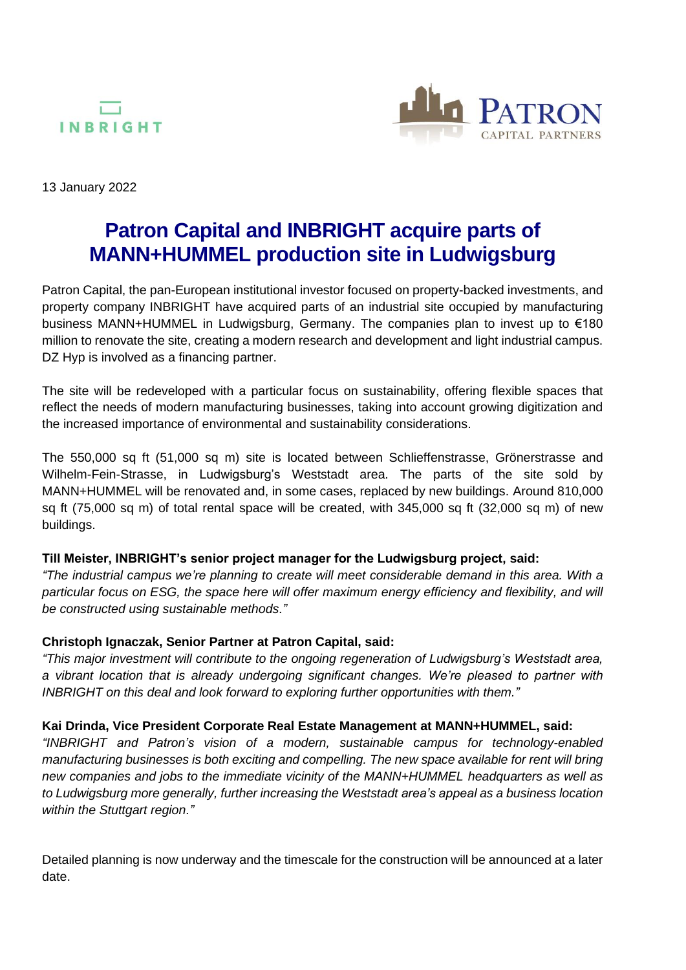



13 January 2022

# **Patron Capital and INBRIGHT acquire parts of MANN+HUMMEL production site in Ludwigsburg**

Patron Capital, the pan-European institutional investor focused on property-backed investments, and property company INBRIGHT have acquired parts of an industrial site occupied by manufacturing business MANN+HUMMEL in Ludwigsburg, Germany. The companies plan to invest up to €180 million to renovate the site, creating a modern research and development and light industrial campus. DZ Hyp is involved as a financing partner.

The site will be redeveloped with a particular focus on sustainability, offering flexible spaces that reflect the needs of modern manufacturing businesses, taking into account growing digitization and the increased importance of environmental and sustainability considerations.

The 550,000 sq ft (51,000 sq m) site is located between Schlieffenstrasse, Grönerstrasse and Wilhelm-Fein-Strasse, in Ludwigsburg's Weststadt area. The parts of the site sold by MANN+HUMMEL will be renovated and, in some cases, replaced by new buildings. Around 810,000 sq ft (75,000 sq m) of total rental space will be created, with 345,000 sq ft (32,000 sq m) of new buildings.

# **Till Meister, INBRIGHT's senior project manager for the Ludwigsburg project, said:**

*"The industrial campus we're planning to create will meet considerable demand in this area. With a particular focus on ESG, the space here will offer maximum energy efficiency and flexibility, and will be constructed using sustainable methods."*

# **Christoph Ignaczak, Senior Partner at Patron Capital, said:**

*"This major investment will contribute to the ongoing regeneration of Ludwigsburg's Weststadt area, a vibrant location that is already undergoing significant changes. We're pleased to partner with INBRIGHT on this deal and look forward to exploring further opportunities with them."*

# **Kai Drinda, Vice President Corporate Real Estate Management at MANN+HUMMEL, said:**

*"INBRIGHT and Patron's vision of a modern, sustainable campus for technology-enabled manufacturing businesses is both exciting and compelling. The new space available for rent will bring new companies and jobs to the immediate vicinity of the MANN+HUMMEL headquarters as well as to Ludwigsburg more generally, further increasing the Weststadt area's appeal as a business location within the Stuttgart region."*

Detailed planning is now underway and the timescale for the construction will be announced at a later date.